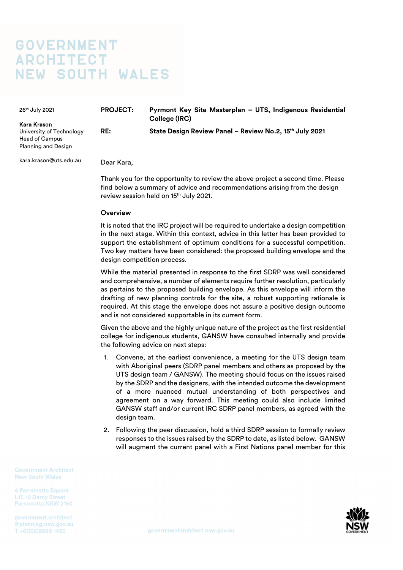# **GOVERNMENT ARCHITECT** NEW SOUTH WALES

| 26 <sup>th</sup> July 2021<br>Kara Krason                                       | <b>PROJECT:</b> | Pyrmont Key Site Masterplan - UTS, Indigenous Residential<br>College (IRC) |
|---------------------------------------------------------------------------------|-----------------|----------------------------------------------------------------------------|
| University of Technology<br><b>Head of Campus</b><br><b>Planning and Design</b> | RE:             | State Design Review Panel - Review No.2, 15th July 2021                    |
| kara.krason@uts.edu.au                                                          | Dear Kara.      |                                                                            |

Thank you for the opportunity to review the above project a second time. Please find below a summary of advice and recommendations arising from the design review session held on 15<sup>th</sup> July 2021.

## **Overview**

It is noted that the IRC project will be required to undertake a design competition in the next stage. Within this context, advice in this letter has been provided to support the establishment of optimum conditions for a successful competition. Two key matters have been considered: the proposed building envelope and the design competition process.

While the material presented in response to the first SDRP was well considered and comprehensive, a number of elements require further resolution, particularly as pertains to the proposed building envelope. As this envelope will inform the drafting of new planning controls for the site, a robust supporting rationale is required. At this stage the envelope does not assure a positive design outcome and is not considered supportable in its current form.

Given the above and the highly unique nature of the project as the first residential college for indigenous students, GANSW have consulted internally and provide the following advice on next steps:

- 1. Convene, at the earliest convenience, a meeting for the UTS design team with Aboriginal peers (SDRP panel members and others as proposed by the UTS design team / GANSW). The meeting should focus on the issues raised by the SDRP and the designers, with the intended outcome the development of a more nuanced mutual understanding of both perspectives and agreement on a way forward. This meeting could also include limited GANSW staff and/or current IRC SDRP panel members, as agreed with the design team.
- 2. Following the peer discussion, hold a third SDRP session to formally review responses to the issues raised by the SDRP to date, as listed below. GANSW will augment the current panel with a First Nations panel member for this

**Government Architect New South Wales** 

4 Parramatta Square L17, 12 Darcy Street Parramatta NSW 2150

government.architect @planning.nsw.gov.au T+61(02)9860 1450

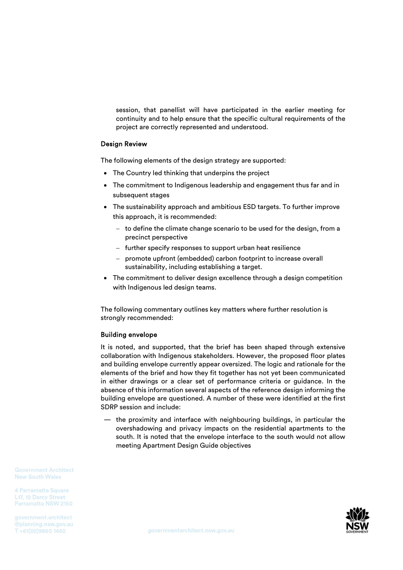session, that panellist will have participated in the earlier meeting for continuity and to help ensure that the specific cultural requirements of the project are correctly represented and understood.

## Design Review

The following elements of the design strategy are supported:

- The Country led thinking that underpins the project
- The commitment to Indigenous leadership and engagement thus far and in subsequent stages
- The sustainability approach and ambitious ESD targets. To further improve this approach, it is recommended:
	- $-$  to define the climate change scenario to be used for the design, from a precinct perspective
	- further specify responses to support urban heat resilience
	- promote upfront (embedded) carbon footprint to increase overall sustainability, including establishing a target.
- The commitment to deliver design excellence through a design competition with Indigenous led design teams.

The following commentary outlines key matters where further resolution is strongly recommended:

### Building envelope

It is noted, and supported, that the brief has been shaped through extensive collaboration with Indigenous stakeholders. However, the proposed floor plates and building envelope currently appear oversized. The logic and rationale for the elements of the brief and how they fit together has not yet been communicated in either drawings or a clear set of performance criteria or guidance. In the absence of this information several aspects of the reference design informing the building envelope are questioned. A number of these were identified at the first SDRP session and include:

— the proximity and interface with neighbouring buildings, in particular the overshadowing and privacy impacts on the residential apartments to the south. It is noted that the envelope interface to the south would not allow meeting Apartment Design Guide objectives

**Government Architect New South Wales** 

4 Parramatta Square L17, 12 Darcy Street Parramatta NSW 2150

government.architect @planning.nsw.gov.au T+61(02)9860 1450

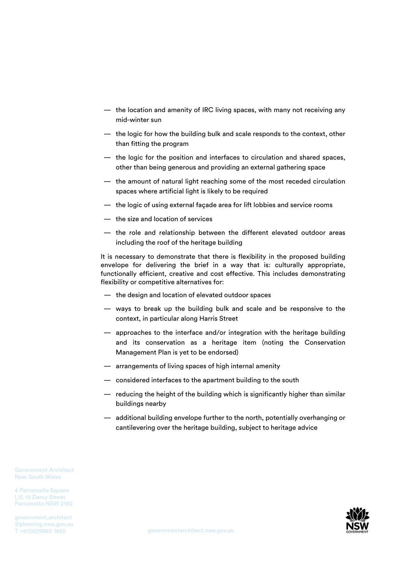- the location and amenity of IRC living spaces, with many not receiving any mid-winter sun
- the logic for how the building bulk and scale responds to the context, other than fitting the program
- the logic for the position and interfaces to circulation and shared spaces, other than being generous and providing an external gathering space
- the amount of natural light reaching some of the most receded circulation spaces where artificial light is likely to be required
- the logic of using external façade area for lift lobbies and service rooms
- the size and location of services
- the role and relationship between the different elevated outdoor areas including the roof of the heritage building

It is necessary to demonstrate that there is flexibility in the proposed building envelope for delivering the brief in a way that is: culturally appropriate, functionally efficient, creative and cost effective. This includes demonstrating flexibility or competitive alternatives for:

- the design and location of elevated outdoor spaces
- ways to break up the building bulk and scale and be responsive to the context, in particular along Harris Street
- approaches to the interface and/or integration with the heritage building and its conservation as a heritage item (noting the Conservation Management Plan is yet to be endorsed)
- arrangements of living spaces of high internal amenity
- considered interfaces to the apartment building to the south
- reducing the height of the building which is significantly higher than similar buildings nearby
- additional building envelope further to the north, potentially overhanging or cantilevering over the heritage building, subject to heritage advice

**Government Architect New South Wales** 

4 Parramatta Square L17, 12 Darcy Street Parramatta NSW 2150

government.architect @planning.nsw.gov.au T +61(02)9860 1450

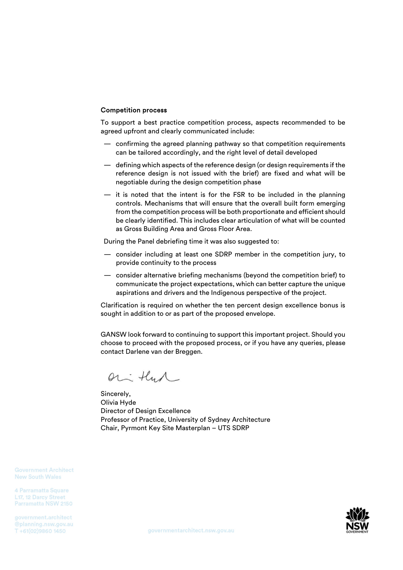## Competition process

To support a best practice competition process, aspects recommended to be agreed upfront and clearly communicated include:

- confirming the agreed planning pathway so that competition requirements can be tailored accordingly, and the right level of detail developed
- defining which aspects of the reference design (or design requirements if the reference design is not issued with the brief) are fixed and what will be negotiable during the design competition phase
- it is noted that the intent is for the FSR to be included in the planning controls. Mechanisms that will ensure that the overall built form emerging from the competition process will be both proportionate and efficient should be clearly identified. This includes clear articulation of what will be counted as Gross Building Area and Gross Floor Area.

During the Panel debriefing time it was also suggested to:

- consider including at least one SDRP member in the competition jury, to provide continuity to the process
- consider alternative briefing mechanisms (beyond the competition brief) to communicate the project expectations, which can better capture the unique aspirations and drivers and the Indigenous perspective of the project.

Clarification is required on whether the ten percent design excellence bonus is sought in addition to or as part of the proposed envelope.

GANSW look forward to continuing to support this important project. Should you choose to proceed with the proposed process, or if you have any queries, please contact Darlene van der Breggen.

or that

Sincerely, Olivia Hyde Director of Design Excellence Professor of Practice, University of Sydney Architecture Chair, Pyrmont Key Site Masterplan – UTS SDRP

**Government Architect New South Wales** 

4 Parramatta Square L17, 12 Darcy Street Parramatta NSW 2150

government.architect @planning.nsw.gov.au T +61(02)9860 1450